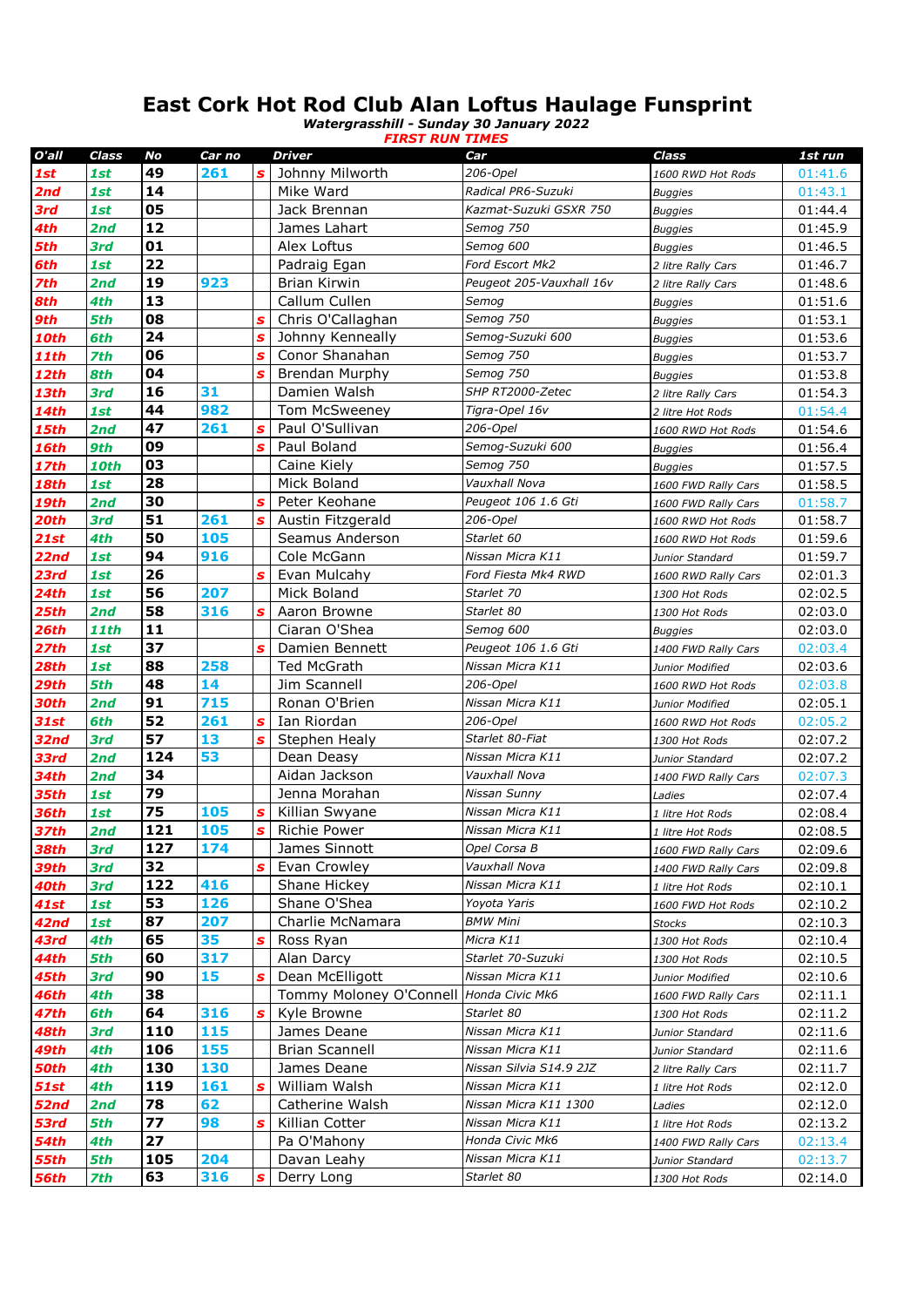## **East Cork Hot Rod Club Alan Loftus Haulage Funsprint**

*Watergrasshill - Sunday 30 January 2022 FIRST RUN TIMES*

| O'all       | Class       | No  | Car no |                  | Driver                  | Car                      | Class               | 1st run |
|-------------|-------------|-----|--------|------------------|-------------------------|--------------------------|---------------------|---------|
| 1st         | 1st         | 49  | 261    | s                | Johnny Milworth         | 206-Opel                 | 1600 RWD Hot Rods   | 01:41.6 |
| 2nd         | 1st         | 14  |        |                  | Mike Ward               | Radical PR6-Suzuki       | <b>Buggies</b>      | 01:43.1 |
| 3rd         | 1st         | 05  |        |                  | Jack Brennan            | Kazmat-Suzuki GSXR 750   | <b>Buggies</b>      | 01:44.4 |
| 4th         | 2nd         | 12  |        |                  | James Lahart            | Semog 750                | <b>Buggies</b>      | 01:45.9 |
| 5th         | 3rd         | 01  |        |                  | Alex Loftus             | Semog 600                | <b>Buggies</b>      | 01:46.5 |
| 6th         | 1st         | 22  |        |                  | Padraig Egan            | Ford Escort Mk2          | 2 litre Rally Cars  | 01:46.7 |
| 7th         | 2nd         | 19  | 923    |                  | <b>Brian Kirwin</b>     | Peugeot 205-Vauxhall 16v | 2 litre Rally Cars  | 01:48.6 |
| 8th         | 4th         | 13  |        |                  | Callum Cullen           | Semog                    | <b>Buggies</b>      | 01:51.6 |
| 9th         | 5th         | 08  |        | S                | Chris O'Callaghan       | Semog 750                | <b>Buggies</b>      | 01:53.1 |
| 10th        | 6th         | 24  |        | s                | Johnny Kenneally        | Semog-Suzuki 600         | <b>Buggies</b>      | 01:53.6 |
| <b>11th</b> | <b>7th</b>  | 06  |        | s                | Conor Shanahan          | Semog 750                | <b>Buggies</b>      | 01:53.7 |
| 12th        | 8th         | 04  |        | S                | <b>Brendan Murphy</b>   | Semog 750                | <b>Buggies</b>      | 01:53.8 |
| <b>13th</b> | 3rd         | 16  | 31     |                  | Damien Walsh            | SHP RT2000-Zetec         | 2 litre Rally Cars  | 01:54.3 |
| <b>14th</b> | 1st         | 44  | 982    |                  | Tom McSweeney           | Tigra-Opel 16v           | 2 litre Hot Rods    | 01:54.4 |
| 15th        | 2nd         | 47  | 261    | S                | Paul O'Sullivan         | 206-Opel                 | 1600 RWD Hot Rods   | 01:54.6 |
| 16th        | 9th         | 09  |        | S                | Paul Boland             | Semog-Suzuki 600         | <b>Buggies</b>      | 01:56.4 |
| 17th        | <b>10th</b> | 03  |        |                  | Caine Kiely             | Semog 750                | <b>Buggies</b>      | 01:57.5 |
| 18th        | 1st         | 28  |        |                  | Mick Boland             | Vauxhall Nova            | 1600 FWD Rally Cars | 01:58.5 |
| 19th        | 2nd         | 30  |        | S                | Peter Keohane           | Peugeot 106 1.6 Gti      | 1600 FWD Rally Cars | 01:58.7 |
| 20th        | 3rd         | 51  | 261    | S                | Austin Fitzgerald       | 206-Opel                 | 1600 RWD Hot Rods   | 01:58.7 |
| 21st        | 4th         | 50  | 105    |                  | Seamus Anderson         | Starlet 60               | 1600 RWD Hot Rods   | 01:59.6 |
| 22nd        | 1st         | 94  | 916    |                  | Cole McGann             | Nissan Micra K11         | Junior Standard     | 01:59.7 |
| 23rd        | 1st         | 26  |        | S                | Evan Mulcahy            | Ford Fiesta Mk4 RWD      | 1600 RWD Rally Cars | 02:01.3 |
| 24th        | 1st         | 56  | 207    |                  | Mick Boland             | Starlet 70               | 1300 Hot Rods       | 02:02.5 |
| 25th        | 2nd         | 58  | 316    | S                | Aaron Browne            | Starlet 80               | 1300 Hot Rods       | 02:03.0 |
| 26th        | <b>11th</b> | 11  |        |                  | Ciaran O'Shea           | Semog 600                | <b>Buggies</b>      | 02:03.0 |
| 27th        | 1st         | 37  |        | Š                | Damien Bennett          | Peugeot 106 1.6 Gti      | 1400 FWD Rally Cars | 02:03.4 |
| 28th        | 1st         | 88  | 258    |                  | <b>Ted McGrath</b>      | Nissan Micra K11         | Junior Modified     | 02:03.6 |
| 29th        | 5th         | 48  | 14     |                  | Jim Scannell            | 206-Opel                 | 1600 RWD Hot Rods   | 02:03.8 |
| 30th        | 2nd         | 91  | 715    |                  | Ronan O'Brien           | Nissan Micra K11         | Junior Modified     | 02:05.1 |
| 31st        | 6th         | 52  | 261    | $\boldsymbol{s}$ | Ian Riordan             | 206-Opel                 | 1600 RWD Hot Rods   | 02:05.2 |
| 32nd        | 3rd         | 57  | 13     | S                | Stephen Healy           | Starlet 80-Fiat          | 1300 Hot Rods       | 02:07.2 |
| 33rd        | 2nd         | 124 | 53     |                  | Dean Deasy              | Nissan Micra K11         | Junior Standard     | 02:07.2 |
| 34th        | 2nd         | 34  |        |                  | Aidan Jackson           | Vauxhall Nova            | 1400 FWD Rally Cars | 02:07.3 |
| <b>35th</b> | 1st         | 79  |        |                  | Jenna Morahan           | Nissan Sunny             | Ladies              | 02:07.4 |
| <b>36th</b> | 1st         | 75  | 105    | S                | Killian Swyane          | Nissan Micra K11         | 1 litre Hot Rods    | 02:08.4 |
| <b>37th</b> | 2nd         | 121 | 105    | s                | <b>Richie Power</b>     | Nissan Micra K11         | 1 litre Hot Rods    | 02:08.5 |
| <b>38th</b> | 3rd         | 127 | 174    |                  | James Sinnott           | Opel Corsa B             | 1600 FWD Rally Cars | 02:09.6 |
| 39th        | 3rd         | 32  |        | S                | Evan Crowley            | Vauxhall Nova            | 1400 FWD Rally Cars | 02:09.8 |
| 40th        | 3rd         | 122 | 416    |                  | Shane Hickey            | Nissan Micra K11         | 1 litre Hot Rods    | 02:10.1 |
| 41st        | 1st         | 53  | 126    |                  | Shane O'Shea            | Yoyota Yaris             | 1600 FWD Hot Rods   | 02:10.2 |
| 42nd        | 1st         | 87  | 207    |                  | Charlie McNamara        | <b>BMW Mini</b>          | <b>Stocks</b>       | 02:10.3 |
| 43rd        | 4th         | 65  | 35     | S                | Ross Ryan               | Micra K11                | 1300 Hot Rods       | 02:10.4 |
| 44th        | 5th         | 60  | 317    |                  | Alan Darcy              | Starlet 70-Suzuki        | 1300 Hot Rods       | 02:10.5 |
| 45th        | 3rd         | 90  | 15     | S                | Dean McElligott         | Nissan Micra K11         | Junior Modified     | 02:10.6 |
| 46th        | 4th         | 38  |        |                  | Tommy Moloney O'Connell | Honda Civic Mk6          | 1600 FWD Rally Cars | 02:11.1 |
| 47th        | 6th         | 64  | 316    | S                | Kyle Browne             | Starlet 80               | 1300 Hot Rods       | 02:11.2 |
| <b>48th</b> | <b>3rd</b>  | 110 | 115    |                  | James Deane             | Nissan Micra K11         | Junior Standard     | 02:11.6 |
| 49th        | 4th         | 106 | 155    |                  | <b>Brian Scannell</b>   | Nissan Micra K11         | Junior Standard     | 02:11.6 |
| 50th        | 4th         | 130 | 130    |                  | James Deane             | Nissan Silvia S14.9 2JZ  | 2 litre Rally Cars  | 02:11.7 |
| 51st        | 4th         | 119 | 161    | s                | William Walsh           | Nissan Micra K11         | 1 litre Hot Rods    | 02:12.0 |
| 52nd        | 2nd         | 78  | 62     |                  | Catherine Walsh         | Nissan Micra K11 1300    | Ladies              | 02:12.0 |
| 53rd        | 5th         | 77  | 98     | S                | Killian Cotter          | Nissan Micra K11         | 1 litre Hot Rods    | 02:13.2 |
| 54th        | 4th         | 27  |        |                  | Pa O'Mahony             | Honda Civic Mk6          | 1400 FWD Rally Cars | 02:13.4 |
| 55th        | 5th         | 105 | 204    |                  | Davan Leahy             | Nissan Micra K11         | Junior Standard     | 02:13.7 |
| <b>56th</b> | 7th         | 63  | 316    | S                | Derry Long              | Starlet 80               | 1300 Hot Rods       | 02:14.0 |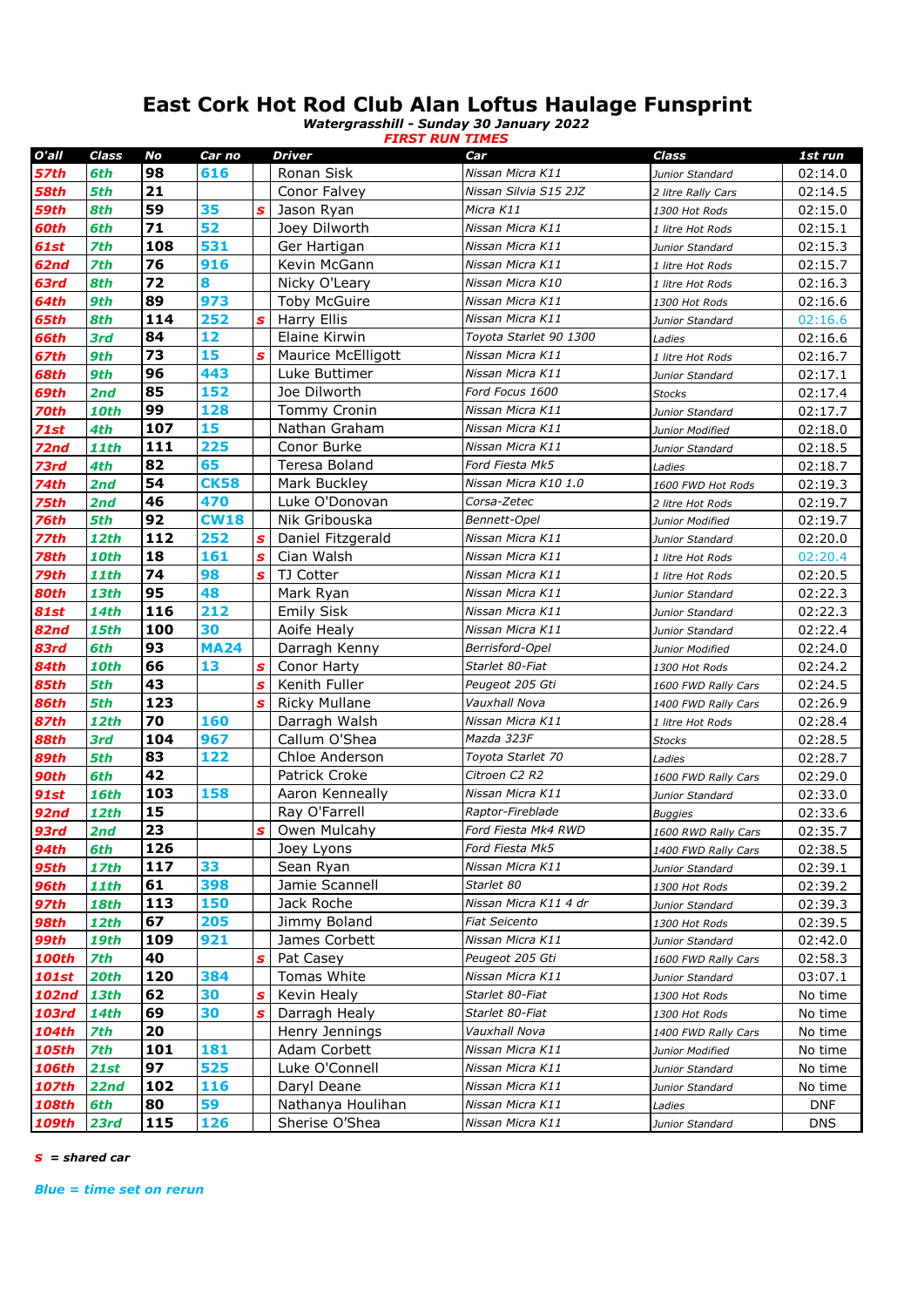## **East Cork Hot Rod Club Alan Loftus Haulage Funsprint**

*Watergrasshill - Sunday 30 January 2022 FIRST RUN TIMES*

| O'all        | Class       | No  | Car no      |              | <b>Driver</b>             | Car                    | Class               | 1st run    |
|--------------|-------------|-----|-------------|--------------|---------------------------|------------------------|---------------------|------------|
| 57th         | 6th         | 98  | 616         |              | Ronan Sisk                | Nissan Micra K11       | Junior Standard     | 02:14.0    |
| 58th         | 5th         | 21  |             |              | Conor Falvey              | Nissan Silvia S15 2JZ  | 2 litre Rally Cars  | 02:14.5    |
| 59th         | 8th         | 59  | 35          | S            | Jason Ryan                | Micra K11              | 1300 Hot Rods       | 02:15.0    |
| 60th         | 6th         | 71  | 52          |              | Joey Dilworth             | Nissan Micra K11       | 1 litre Hot Rods    | 02:15.1    |
| 61st         | 7th         | 108 | 531         |              | Ger Hartigan              | Nissan Micra K11       | Junior Standard     | 02:15.3    |
| 62nd         | 7th         | 76  | 916         |              | Kevin McGann              | Nissan Micra K11       | 1 litre Hot Rods    | 02:15.7    |
| 63rd         | 8th         | 72  | 8           |              | Nicky O'Leary             | Nissan Micra K10       | 1 litre Hot Rods    | 02:16.3    |
| 64th         | 9th         | 89  | 973         |              | <b>Toby McGuire</b>       | Nissan Micra K11       | 1300 Hot Rods       | 02:16.6    |
| 65th         | 8th         | 114 | 252         | S            | Harry Ellis               | Nissan Micra K11       | Junior Standard     | 02:16.6    |
| 66th         | 3rd         | 84  | 12          |              | Elaine Kirwin             | Toyota Starlet 90 1300 | Ladies              | 02:16.6    |
| 67th         | 9th         | 73  | 15          | S            | <b>Maurice McElligott</b> | Nissan Micra K11       | 1 litre Hot Rods    | 02:16.7    |
| 68th         | 9th         | 96  | 443         |              | Luke Buttimer             | Nissan Micra K11       | Junior Standard     | 02:17.1    |
| 69th         | 2nd         | 85  | 152         |              | Joe Dilworth              | Ford Focus 1600        | <b>Stocks</b>       | 02:17.4    |
| 70th         | <b>10th</b> | 99  | 128         |              | <b>Tommy Cronin</b>       | Nissan Micra K11       | Junior Standard     | 02:17.7    |
| 71st         | 4th         | 107 | 15          |              | Nathan Graham             | Nissan Micra K11       | Junior Modified     | 02:18.0    |
| 72nd         | <b>11th</b> | 111 | 225         |              | Conor Burke               | Nissan Micra K11       | Junior Standard     | 02:18.5    |
| 73rd         | 4th         | 82  | 65          |              | Teresa Boland             | Ford Fiesta Mk5        | Ladies              | 02:18.7    |
| 74th         | 2nd         | 54  | <b>CK58</b> |              | Mark Buckley              | Nissan Micra K10 1.0   | 1600 FWD Hot Rods   | 02:19.3    |
| 75th         | 2nd         | 46  | 470         |              | Luke O'Donovan            | Corsa-Zetec            | 2 litre Hot Rods    | 02:19.7    |
| 76th         | 5th         | 92  | <b>CW18</b> |              | Nik Gribouska             | Bennett-Opel           | Junior Modified     | 02:19.7    |
| 77th         | <b>12th</b> | 112 | 252         | s            | Daniel Fitzgerald         | Nissan Micra K11       | Junior Standard     | 02:20.0    |
| 78th         | <b>10th</b> | 18  | 161         | S            | Cian Walsh                | Nissan Micra K11       | 1 litre Hot Rods    | 02:20.4    |
| 79th         | <b>11th</b> | 74  | 98          | $\mathbf{s}$ | TJ Cotter                 | Nissan Micra K11       | 1 litre Hot Rods    | 02:20.5    |
| 80th         | <b>13th</b> | 95  | 48          |              | Mark Ryan                 | Nissan Micra K11       | Junior Standard     | 02:22.3    |
| 81st         | <b>14th</b> | 116 | 212         |              | <b>Emily Sisk</b>         | Nissan Micra K11       | Junior Standard     | 02:22.3    |
| 82nd         | <b>15th</b> | 100 | 30          |              | Aoife Healy               | Nissan Micra K11       | Junior Standard     | 02:22.4    |
| 83rd         | 6th         | 93  | <b>MA24</b> |              | Darragh Kenny             | Berrisford-Opel        | Junior Modified     | 02:24.0    |
| 84th         | <b>10th</b> | 66  | 13          | S            | Conor Harty               | Starlet 80-Fiat        | 1300 Hot Rods       | 02:24.2    |
| 85th         | 5th         | 43  |             | $\mathbf{s}$ | Kenith Fuller             | Peugeot 205 Gti        | 1600 FWD Rally Cars | 02:24.5    |
| 86th         | 5th         | 123 |             | S            | <b>Ricky Mullane</b>      | Vauxhall Nova          | 1400 FWD Rally Cars | 02:26.9    |
| 87th         | <b>12th</b> | 70  | 160         |              | Darragh Walsh             | Nissan Micra K11       | 1 litre Hot Rods    | 02:28.4    |
| <b>88th</b>  | 3rd         | 104 | 967         |              | Callum O'Shea             | Mazda 323F             | <b>Stocks</b>       | 02:28.5    |
| 89th         | 5th         | 83  | 122         |              | Chloe Anderson            | Toyota Starlet 70      | Ladies              | 02:28.7    |
| 90th         | 6th         | 42  |             |              | <b>Patrick Croke</b>      | Citroen C2 R2          | 1600 FWD Rally Cars | 02:29.0    |
| <b>91st</b>  | <b>16th</b> | 103 | 158         |              | Aaron Kenneally           | Nissan Micra K11       | Junior Standard     | 02:33.0    |
| <b>92nd</b>  | <b>12th</b> | 15  |             |              | Ray O'Farrell             | Raptor-Fireblade       | <b>Buggies</b>      | 02:33.6    |
| 93rd         | 2nd         | 23  |             | s            | Owen Mulcahy              | Ford Fiesta Mk4 RWD    | 1600 RWD Rally Cars | 02:35.7    |
| <b>94th</b>  | 6th         | 126 |             |              | Joey Lyons                | Ford Fiesta Mk5        | 1400 FWD Rally Cars | 02:38.5    |
| <b>95th</b>  | <b>17th</b> | 117 | 33          |              | Sean Ryan                 | Nissan Micra K11       | Junior Standard     | 02:39.1    |
| <b>96th</b>  | <b>11th</b> | 61  | 398         |              | Jamie Scannell            | Starlet 80             | 1300 Hot Rods       | 02:39.2    |
| <b>97th</b>  | <b>18th</b> | 113 | 150         |              | Jack Roche                | Nissan Micra K11 4 dr  | Junior Standard     | 02:39.3    |
| <b>98th</b>  | <b>12th</b> | 67  | 205         |              | Jimmy Boland              | <b>Fiat Seicento</b>   | 1300 Hot Rods       | 02:39.5    |
| 99th         | <b>19th</b> | 109 | 921         |              | James Corbett             | Nissan Micra K11       | Junior Standard     | 02:42.0    |
| 100th        | 7th         | 40  |             | s            | Pat Casey                 | Peugeot 205 Gti        | 1600 FWD Rally Cars | 02:58.3    |
| 101st        | 20th        | 120 | 384         |              | Tomas White               | Nissan Micra K11       | Junior Standard     | 03:07.1    |
| 102nd        | <b>13th</b> | 62  | 30          | S            | Kevin Healy               | Starlet 80-Fiat        | 1300 Hot Rods       | No time    |
| 103rd        | <b>14th</b> | 69  | 30          | s            | Darragh Healy             | Starlet 80-Fiat        | 1300 Hot Rods       | No time    |
| 104th        | 7th         | 20  |             |              | Henry Jennings            | Vauxhall Nova          | 1400 FWD Rally Cars | No time    |
| 105th        | 7th         | 101 | 181         |              | Adam Corbett              | Nissan Micra K11       | Junior Modified     | No time    |
| 106th        | <b>21st</b> | 97  | 525         |              | Luke O'Connell            | Nissan Micra K11       | Junior Standard     | No time    |
| <b>107th</b> | 22nd        | 102 | 116         |              | Daryl Deane               | Nissan Micra K11       | Junior Standard     | No time    |
| 108th        | 6th         | 80  | 59          |              | Nathanya Houlihan         | Nissan Micra K11       | Ladies              | <b>DNF</b> |
| 109th        | 23rd        | 115 | 126         |              | Sherise O'Shea            | Nissan Micra K11       | Junior Standard     | <b>DNS</b> |

*s = shared car*

*Blue = time set on rerun*